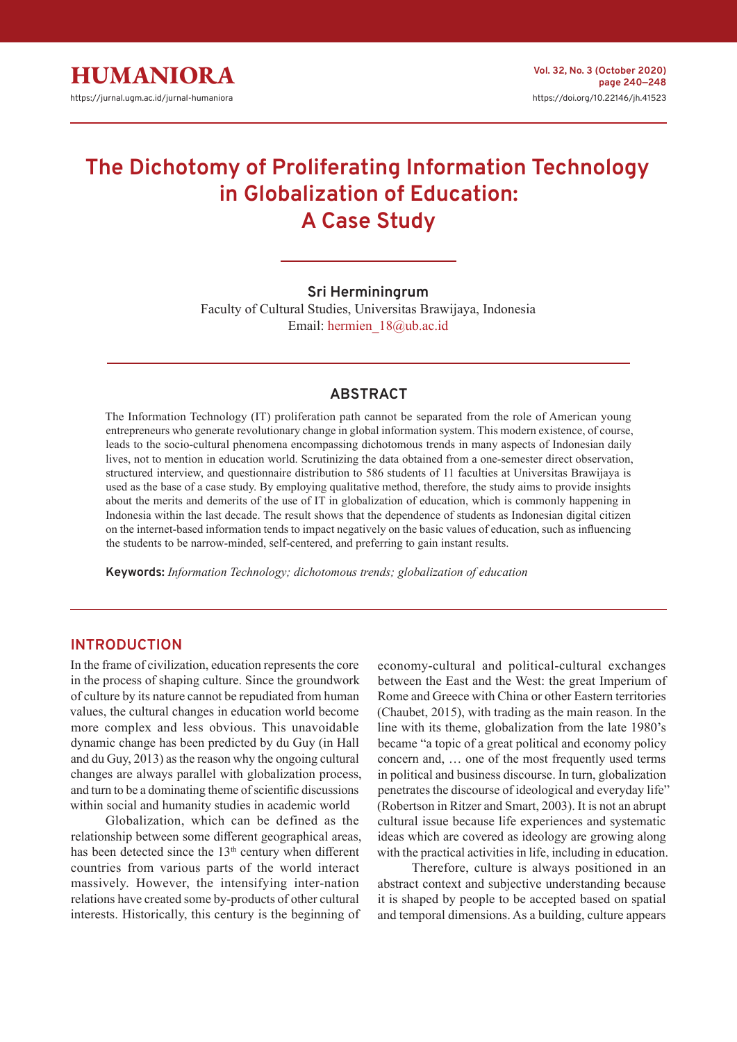# **The Dichotomy of Proliferating Information Technology in Globalization of Education: A Case Study**

**Sri Herminingrum**

Faculty of Cultural Studies, Universitas Brawijaya, Indonesia Email: hermien\_18@ub.ac.id

#### **ABSTRACT**

The Information Technology (IT) proliferation path cannot be separated from the role of American young entrepreneurs who generate revolutionary change in global information system. This modern existence, of course, leads to the socio-cultural phenomena encompassing dichotomous trends in many aspects of Indonesian daily lives, not to mention in education world. Scrutinizing the data obtained from a one-semester direct observation, structured interview, and questionnaire distribution to 586 students of 11 faculties at Universitas Brawijaya is used as the base of a case study. By employing qualitative method, therefore, the study aims to provide insights about the merits and demerits of the use of IT in globalization of education, which is commonly happening in Indonesia within the last decade. The result shows that the dependence of students as Indonesian digital citizen on the internet-based information tends to impact negatively on the basic values of education, such as influencing the students to be narrow-minded, self-centered, and preferring to gain instant results.

**Keywords:** *Information Technology; dichotomous trends; globalization of education*

#### **INTRODUCTION**

In the frame of civilization, education represents the core in the process of shaping culture. Since the groundwork of culture by its nature cannot be repudiated from human values, the cultural changes in education world become more complex and less obvious. This unavoidable dynamic change has been predicted by du Guy (in Hall and du Guy, 2013) as the reason why the ongoing cultural changes are always parallel with globalization process, and turn to be a dominating theme of scientific discussions within social and humanity studies in academic world

Globalization, which can be defined as the relationship between some different geographical areas, has been detected since the 13<sup>th</sup> century when different countries from various parts of the world interact massively. However, the intensifying inter-nation relations have created some by-products of other cultural interests. Historically, this century is the beginning of

economy-cultural and political-cultural exchanges between the East and the West: the great Imperium of Rome and Greece with China or other Eastern territories (Chaubet, 2015), with trading as the main reason. In the line with its theme, globalization from the late 1980's became "a topic of a great political and economy policy concern and, … one of the most frequently used terms in political and business discourse. In turn, globalization penetrates the discourse of ideological and everyday life" (Robertson in Ritzer and Smart, 2003). It is not an abrupt cultural issue because life experiences and systematic ideas which are covered as ideology are growing along with the practical activities in life, including in education.

Therefore, culture is always positioned in an abstract context and subjective understanding because it is shaped by people to be accepted based on spatial and temporal dimensions. As a building, culture appears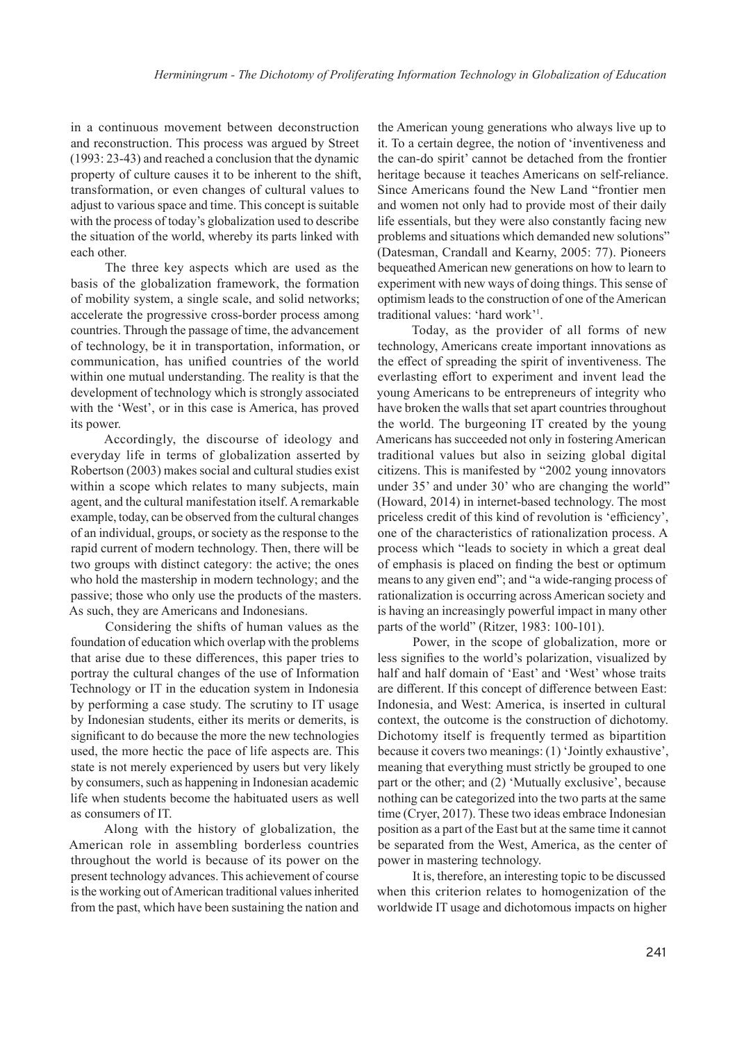in a continuous movement between deconstruction and reconstruction. This process was argued by Street (1993: 23-43) and reached a conclusion that the dynamic property of culture causes it to be inherent to the shift, transformation, or even changes of cultural values to adjust to various space and time. This concept is suitable with the process of today's globalization used to describe the situation of the world, whereby its parts linked with each other.

The three key aspects which are used as the basis of the globalization framework, the formation of mobility system, a single scale, and solid networks; accelerate the progressive cross-border process among countries. Through the passage of time, the advancement of technology, be it in transportation, information, or communication, has unified countries of the world within one mutual understanding. The reality is that the development of technology which is strongly associated with the 'West', or in this case is America, has proved its power.

Accordingly, the discourse of ideology and everyday life in terms of globalization asserted by Robertson (2003) makes social and cultural studies exist within a scope which relates to many subjects, main agent, and the cultural manifestation itself. A remarkable example, today, can be observed from the cultural changes of an individual, groups, or society as the response to the rapid current of modern technology. Then, there will be two groups with distinct category: the active; the ones who hold the mastership in modern technology; and the passive; those who only use the products of the masters. As such, they are Americans and Indonesians.

Considering the shifts of human values as the foundation of education which overlap with the problems that arise due to these differences, this paper tries to portray the cultural changes of the use of Information Technology or IT in the education system in Indonesia by performing a case study. The scrutiny to IT usage by Indonesian students, either its merits or demerits, is significant to do because the more the new technologies used, the more hectic the pace of life aspects are. This state is not merely experienced by users but very likely by consumers, such as happening in Indonesian academic life when students become the habituated users as well as consumers of IT.

Along with the history of globalization, the American role in assembling borderless countries throughout the world is because of its power on the present technology advances. This achievement of course is the working out of American traditional values inherited from the past, which have been sustaining the nation and the American young generations who always live up to it. To a certain degree, the notion of 'inventiveness and the can-do spirit' cannot be detached from the frontier heritage because it teaches Americans on self-reliance. Since Americans found the New Land "frontier men and women not only had to provide most of their daily life essentials, but they were also constantly facing new problems and situations which demanded new solutions" (Datesman, Crandall and Kearny, 2005: 77). Pioneers bequeathed American new generations on how to learn to experiment with new ways of doing things. This sense of optimism leads to the construction of one of the American traditional values: 'hard work'<sup>1</sup> .

Today, as the provider of all forms of new technology, Americans create important innovations as the effect of spreading the spirit of inventiveness. The everlasting effort to experiment and invent lead the young Americans to be entrepreneurs of integrity who have broken the walls that set apart countries throughout the world. The burgeoning IT created by the young Americans has succeeded not only in fostering American traditional values but also in seizing global digital citizens. This is manifested by "2002 young innovators under 35' and under 30' who are changing the world" (Howard, 2014) in internet-based technology. The most priceless credit of this kind of revolution is 'efficiency', one of the characteristics of rationalization process. A process which "leads to society in which a great deal of emphasis is placed on finding the best or optimum means to any given end"; and "a wide-ranging process of rationalization is occurring across American society and is having an increasingly powerful impact in many other parts of the world" (Ritzer, 1983: 100-101).

Power, in the scope of globalization, more or less signifies to the world's polarization, visualized by half and half domain of 'East' and 'West' whose traits are different. If this concept of difference between East: Indonesia, and West: America, is inserted in cultural context, the outcome is the construction of dichotomy. Dichotomy itself is frequently termed as bipartition because it covers two meanings: (1) 'Jointly exhaustive', meaning that everything must strictly be grouped to one part or the other; and (2) 'Mutually exclusive', because nothing can be categorized into the two parts at the same time (Cryer, 2017). These two ideas embrace Indonesian position as a part of the East but at the same time it cannot be separated from the West, America, as the center of power in mastering technology.

It is, therefore, an interesting topic to be discussed when this criterion relates to homogenization of the worldwide IT usage and dichotomous impacts on higher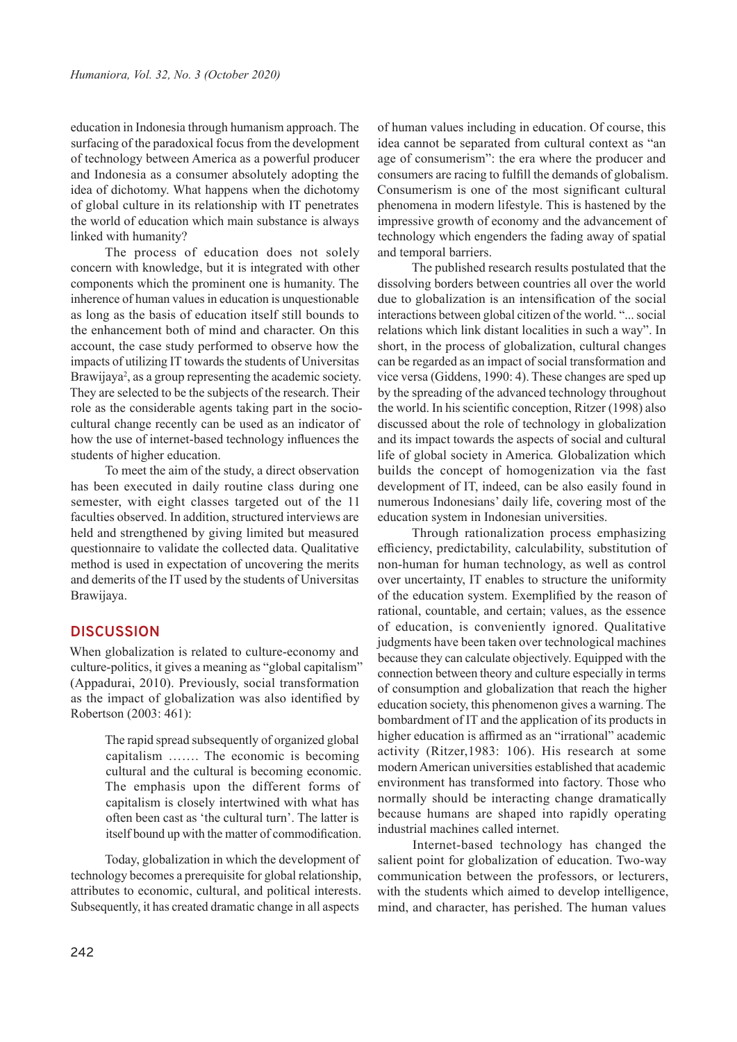education in Indonesia through humanism approach. The surfacing of the paradoxical focus from the development of technology between America as a powerful producer and Indonesia as a consumer absolutely adopting the idea of dichotomy. What happens when the dichotomy of global culture in its relationship with IT penetrates the world of education which main substance is always linked with humanity?

The process of education does not solely concern with knowledge, but it is integrated with other components which the prominent one is humanity. The inherence of human values in education is unquestionable as long as the basis of education itself still bounds to the enhancement both of mind and character. On this account, the case study performed to observe how the impacts of utilizing IT towards the students of Universitas Brawijaya<sup>2</sup>, as a group representing the academic society. They are selected to be the subjects of the research. Their role as the considerable agents taking part in the sociocultural change recently can be used as an indicator of how the use of internet-based technology influences the students of higher education.

To meet the aim of the study, a direct observation has been executed in daily routine class during one semester, with eight classes targeted out of the 11 faculties observed. In addition, structured interviews are held and strengthened by giving limited but measured questionnaire to validate the collected data. Qualitative method is used in expectation of uncovering the merits and demerits of the IT used by the students of Universitas Brawijaya.

### **DISCUSSION**

When globalization is related to culture-economy and culture-politics, it gives a meaning as "global capitalism" (Appadurai, 2010). Previously, social transformation as the impact of globalization was also identified by Robertson (2003: 461):

> The rapid spread subsequently of organized global capitalism ……. The economic is becoming cultural and the cultural is becoming economic. The emphasis upon the different forms of capitalism is closely intertwined with what has often been cast as 'the cultural turn'. The latter is itself bound up with the matter of commodification.

Today, globalization in which the development of technology becomes a prerequisite for global relationship, attributes to economic, cultural, and political interests. Subsequently, it has created dramatic change in all aspects

of human values including in education. Of course, this idea cannot be separated from cultural context as "an age of consumerism": the era where the producer and consumers are racing to fulfill the demands of globalism. Consumerism is one of the most significant cultural phenomena in modern lifestyle. This is hastened by the impressive growth of economy and the advancement of technology which engenders the fading away of spatial and temporal barriers.

The published research results postulated that the dissolving borders between countries all over the world due to globalization is an intensification of the social interactions between global citizen of the world. "... social relations which link distant localities in such a way". In short, in the process of globalization, cultural changes can be regarded as an impact of social transformation and vice versa (Giddens, 1990: 4). These changes are sped up by the spreading of the advanced technology throughout the world. In his scientific conception, Ritzer (1998) also discussed about the role of technology in globalization and its impact towards the aspects of social and cultural life of global society in America*.* Globalization which builds the concept of homogenization via the fast development of IT, indeed, can be also easily found in numerous Indonesians' daily life, covering most of the education system in Indonesian universities.

Through rationalization process emphasizing efficiency, predictability, calculability, substitution of non-human for human technology, as well as control over uncertainty, IT enables to structure the uniformity of the education system. Exemplified by the reason of rational, countable, and certain; values, as the essence of education, is conveniently ignored. Qualitative judgments have been taken over technological machines because they can calculate objectively. Equipped with the connection between theory and culture especially in terms of consumption and globalization that reach the higher education society, this phenomenon gives a warning. The bombardment of IT and the application of its products in higher education is affirmed as an "irrational" academic activity (Ritzer,1983: 106). His research at some modern American universities established that academic environment has transformed into factory. Those who normally should be interacting change dramatically because humans are shaped into rapidly operating industrial machines called internet.

Internet-based technology has changed the salient point for globalization of education. Two-way communication between the professors, or lecturers, with the students which aimed to develop intelligence, mind, and character, has perished. The human values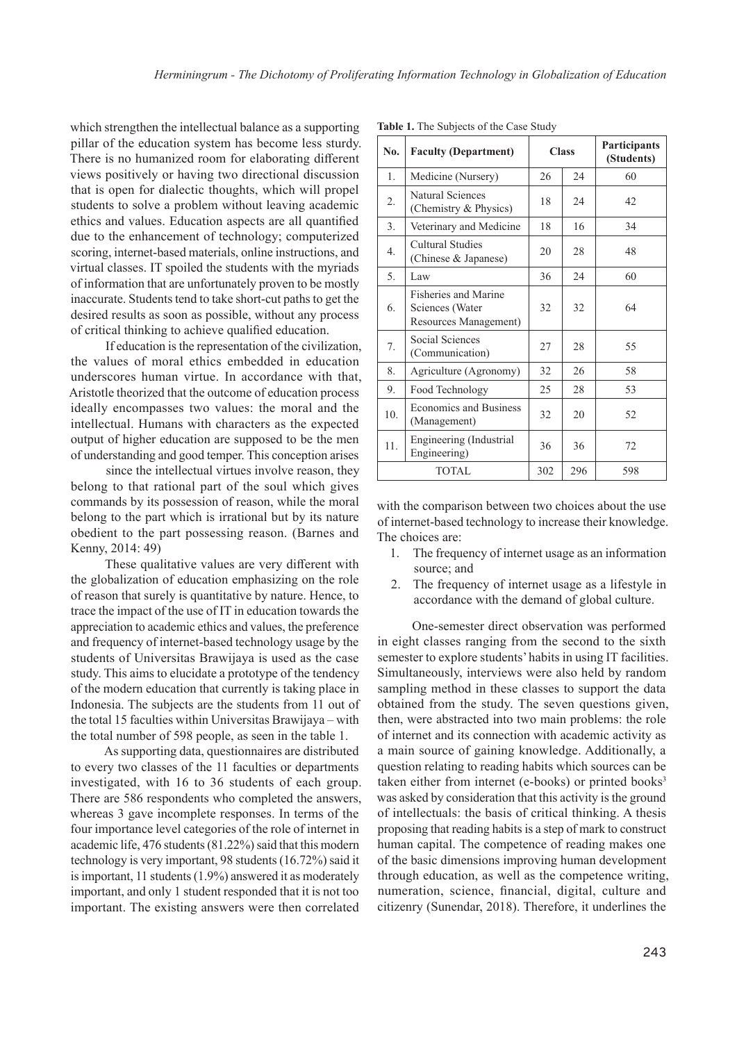which strengthen the intellectual balance as a supporting pillar of the education system has become less sturdy. There is no humanized room for elaborating different views positively or having two directional discussion that is open for dialectic thoughts, which will propel students to solve a problem without leaving academic ethics and values. Education aspects are all quantified due to the enhancement of technology; computerized scoring, internet-based materials, online instructions, and virtual classes. IT spoiled the students with the myriads of information that are unfortunately proven to be mostly inaccurate. Students tend to take short-cut paths to get the desired results as soon as possible, without any process of critical thinking to achieve qualified education.

If education is the representation of the civilization, the values of moral ethics embedded in education underscores human virtue. In accordance with that, Aristotle theorized that the outcome of education process ideally encompasses two values: the moral and the intellectual. Humans with characters as the expected output of higher education are supposed to be the men of understanding and good temper. This conception arises

since the intellectual virtues involve reason, they belong to that rational part of the soul which gives commands by its possession of reason, while the moral belong to the part which is irrational but by its nature obedient to the part possessing reason. (Barnes and Kenny, 2014: 49)

These qualitative values are very different with the globalization of education emphasizing on the role of reason that surely is quantitative by nature. Hence, to trace the impact of the use of IT in education towards the appreciation to academic ethics and values, the preference and frequency of internet-based technology usage by the students of Universitas Brawijaya is used as the case study. This aims to elucidate a prototype of the tendency of the modern education that currently is taking place in Indonesia. The subjects are the students from 11 out of the total 15 faculties within Universitas Brawijaya – with the total number of 598 people, as seen in the table 1.

As supporting data, questionnaires are distributed to every two classes of the 11 faculties or departments investigated, with 16 to 36 students of each group. There are 586 respondents who completed the answers, whereas 3 gave incomplete responses. In terms of the four importance level categories of the role of internet in academic life, 476 students (81.22%) said that this modern technology is very important, 98 students (16.72%) said it is important, 11 students (1.9%) answered it as moderately important, and only 1 student responded that it is not too important. The existing answers were then correlated

| No.             | <b>Faculty (Department)</b>                                             | <b>Class</b> |     | Participants<br>(Students) |
|-----------------|-------------------------------------------------------------------------|--------------|-----|----------------------------|
| 1.              | Medicine (Nursery)                                                      | 26           | 24  | 60                         |
| 2.              | Natural Sciences<br>(Chemistry & Physics)                               | 18           | 24  | 42                         |
| 3.              | Veterinary and Medicine                                                 | 18           | 16  | 34                         |
| 4.              | <b>Cultural Studies</b><br>(Chinese & Japanese)                         | 20           | 28  | 48                         |
| 5.              | Law                                                                     | 36           | 24  | 60                         |
| 6.              | <b>Fisheries and Marine</b><br>Sciences (Water<br>Resources Management) | 32           | 32  | 64                         |
| 7.              | Social Sciences<br>(Communication)                                      | 27           | 28  | 55                         |
| 8.              | Agriculture (Agronomy)                                                  | 32           | 26  | 58                         |
| 9.              | Food Technology                                                         | 25           | 28  | 53                         |
| 10 <sub>1</sub> | Economics and Business<br>(Management)                                  | 32           | 20  | 52                         |
| 11.             | Engineering (Industrial<br>Engineering)                                 | 36           | 36  | 72                         |
| <b>TOTAL</b>    |                                                                         | 302          | 296 | 598                        |

**Table 1.** The Subjects of the Case Study

with the comparison between two choices about the use of internet-based technology to increase their knowledge. The choices are:

- 1. The frequency of internet usage as an information source; and
- 2. The frequency of internet usage as a lifestyle in accordance with the demand of global culture.

One-semester direct observation was performed in eight classes ranging from the second to the sixth semester to explore students' habits in using IT facilities. Simultaneously, interviews were also held by random sampling method in these classes to support the data obtained from the study. The seven questions given, then, were abstracted into two main problems: the role of internet and its connection with academic activity as a main source of gaining knowledge. Additionally, a question relating to reading habits which sources can be taken either from internet (e-books) or printed books<sup>3</sup> was asked by consideration that this activity is the ground of intellectuals: the basis of critical thinking. A thesis proposing that reading habits is a step of mark to construct human capital. The competence of reading makes one of the basic dimensions improving human development through education, as well as the competence writing, numeration, science, financial, digital, culture and citizenry (Sunendar, 2018). Therefore, it underlines the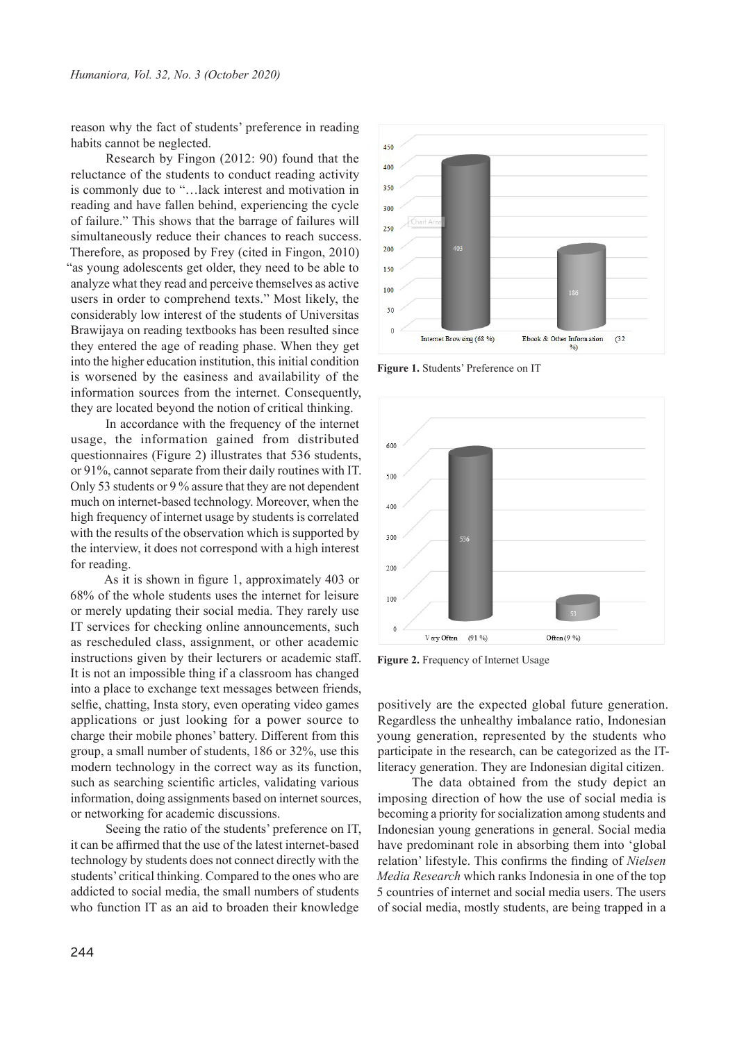reason why the fact of students' preference in reading habits cannot be neglected.

Research by Fingon (2012: 90) found that the reluctance of the students to conduct reading activity is commonly due to "…lack interest and motivation in reading and have fallen behind, experiencing the cycle of failure." This shows that the barrage of failures will simultaneously reduce their chances to reach success. Therefore, as proposed by Frey (cited in Fingon, 2010) "as young adolescents get older, they need to be able to analyze what they read and perceive themselves as active users in order to comprehend texts." Most likely, the considerably low interest of the students of Universitas Brawijaya on reading textbooks has been resulted since they entered the age of reading phase. When they get into the higher education institution, this initial condition is worsened by the easiness and availability of the information sources from the internet. Consequently, they are located beyond the notion of critical thinking.

In accordance with the frequency of the internet usage, the information gained from distributed questionnaires (Figure 2) illustrates that 536 students, or 91%, cannot separate from their daily routines with IT. Only 53 students or 9 % assure that they are not dependent much on internet-based technology. Moreover, when the high frequency of internet usage by students is correlated with the results of the observation which is supported by the interview, it does not correspond with a high interest for reading.

As it is shown in figure 1, approximately 403 or 68% of the whole students uses the internet for leisure or merely updating their social media. They rarely use IT services for checking online announcements, such as rescheduled class, assignment, or other academic instructions given by their lecturers or academic staff. It is not an impossible thing if a classroom has changed into a place to exchange text messages between friends, selfie, chatting, Insta story, even operating video games applications or just looking for a power source to charge their mobile phones' battery. Different from this group, a small number of students, 186 or 32%, use this modern technology in the correct way as its function, such as searching scientific articles, validating various information, doing assignments based on internet sources, or networking for academic discussions.

Seeing the ratio of the students' preference on IT, it can be affirmed that the use of the latest internet-based technology by students does not connect directly with the students' critical thinking. Compared to the ones who are addicted to social media, the small numbers of students who function IT as an aid to broaden their knowledge



**Figure 1.** Students' Preference on IT



**Figure 2.** Frequency of Internet Usage

positively are the expected global future generation. Regardless the unhealthy imbalance ratio, Indonesian young generation, represented by the students who participate in the research, can be categorized as the ITliteracy generation. They are Indonesian digital citizen.

The data obtained from the study depict an imposing direction of how the use of social media is becoming a priority for socialization among students and Indonesian young generations in general. Social media have predominant role in absorbing them into 'global relation' lifestyle. This confirms the finding of *Nielsen Media Research* which ranks Indonesia in one of the top 5 countries of internet and social media users. The users of social media, mostly students, are being trapped in a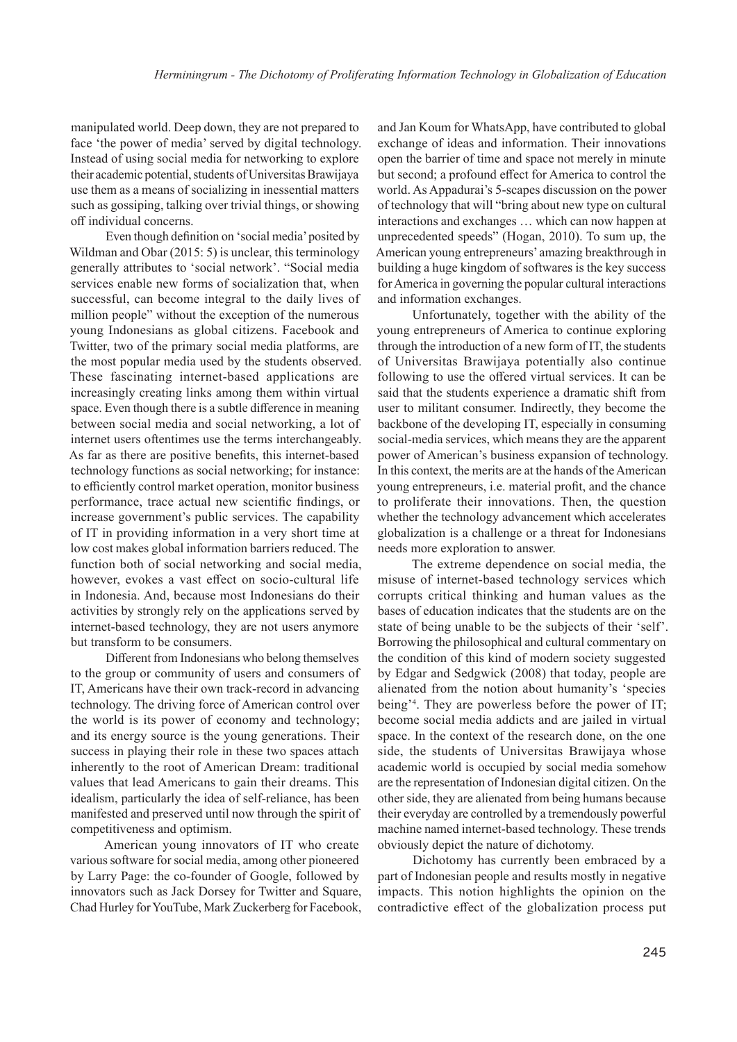manipulated world. Deep down, they are not prepared to face 'the power of media' served by digital technology. Instead of using social media for networking to explore their academic potential, students of Universitas Brawijaya use them as a means of socializing in inessential matters such as gossiping, talking over trivial things, or showing off individual concerns.

Even though definition on 'social media' posited by Wildman and Obar (2015: 5) is unclear, this terminology generally attributes to 'social network'. "Social media services enable new forms of socialization that, when successful, can become integral to the daily lives of million people" without the exception of the numerous young Indonesians as global citizens. Facebook and Twitter, two of the primary social media platforms, are the most popular media used by the students observed. These fascinating internet-based applications are increasingly creating links among them within virtual space. Even though there is a subtle difference in meaning between social media and social networking, a lot of internet users oftentimes use the terms interchangeably. As far as there are positive benefits, this internet-based technology functions as social networking; for instance: to efficiently control market operation, monitor business performance, trace actual new scientific findings, or increase government's public services. The capability of IT in providing information in a very short time at low cost makes global information barriers reduced. The function both of social networking and social media, however, evokes a vast effect on socio-cultural life in Indonesia. And, because most Indonesians do their activities by strongly rely on the applications served by internet-based technology, they are not users anymore but transform to be consumers.

Different from Indonesians who belong themselves to the group or community of users and consumers of IT, Americans have their own track-record in advancing technology. The driving force of American control over the world is its power of economy and technology; and its energy source is the young generations. Their success in playing their role in these two spaces attach inherently to the root of American Dream: traditional values that lead Americans to gain their dreams. This idealism, particularly the idea of self-reliance, has been manifested and preserved until now through the spirit of competitiveness and optimism.

American young innovators of IT who create various software for social media, among other pioneered by Larry Page: the co-founder of Google, followed by innovators such as Jack Dorsey for Twitter and Square, Chad Hurley for YouTube, Mark Zuckerberg for Facebook,

and Jan Koum for WhatsApp, have contributed to global exchange of ideas and information. Their innovations open the barrier of time and space not merely in minute but second; a profound effect for America to control the world. As Appadurai's 5-scapes discussion on the power of technology that will "bring about new type on cultural interactions and exchanges … which can now happen at unprecedented speeds" (Hogan, 2010). To sum up, the American young entrepreneurs' amazing breakthrough in building a huge kingdom of softwares is the key success for America in governing the popular cultural interactions and information exchanges.

Unfortunately, together with the ability of the young entrepreneurs of America to continue exploring through the introduction of a new form of IT, the students of Universitas Brawijaya potentially also continue following to use the offered virtual services. It can be said that the students experience a dramatic shift from user to militant consumer. Indirectly, they become the backbone of the developing IT, especially in consuming social-media services, which means they are the apparent power of American's business expansion of technology. In this context, the merits are at the hands of the American young entrepreneurs, i.e. material profit, and the chance to proliferate their innovations. Then, the question whether the technology advancement which accelerates globalization is a challenge or a threat for Indonesians needs more exploration to answer.

The extreme dependence on social media, the misuse of internet-based technology services which corrupts critical thinking and human values as the bases of education indicates that the students are on the state of being unable to be the subjects of their 'self'. Borrowing the philosophical and cultural commentary on the condition of this kind of modern society suggested by Edgar and Sedgwick (2008) that today, people are alienated from the notion about humanity's 'species being'<sup>4</sup> . They are powerless before the power of IT; become social media addicts and are jailed in virtual space. In the context of the research done, on the one side, the students of Universitas Brawijaya whose academic world is occupied by social media somehow are the representation of Indonesian digital citizen. On the other side, they are alienated from being humans because their everyday are controlled by a tremendously powerful machine named internet-based technology. These trends obviously depict the nature of dichotomy.

Dichotomy has currently been embraced by a part of Indonesian people and results mostly in negative impacts. This notion highlights the opinion on the contradictive effect of the globalization process put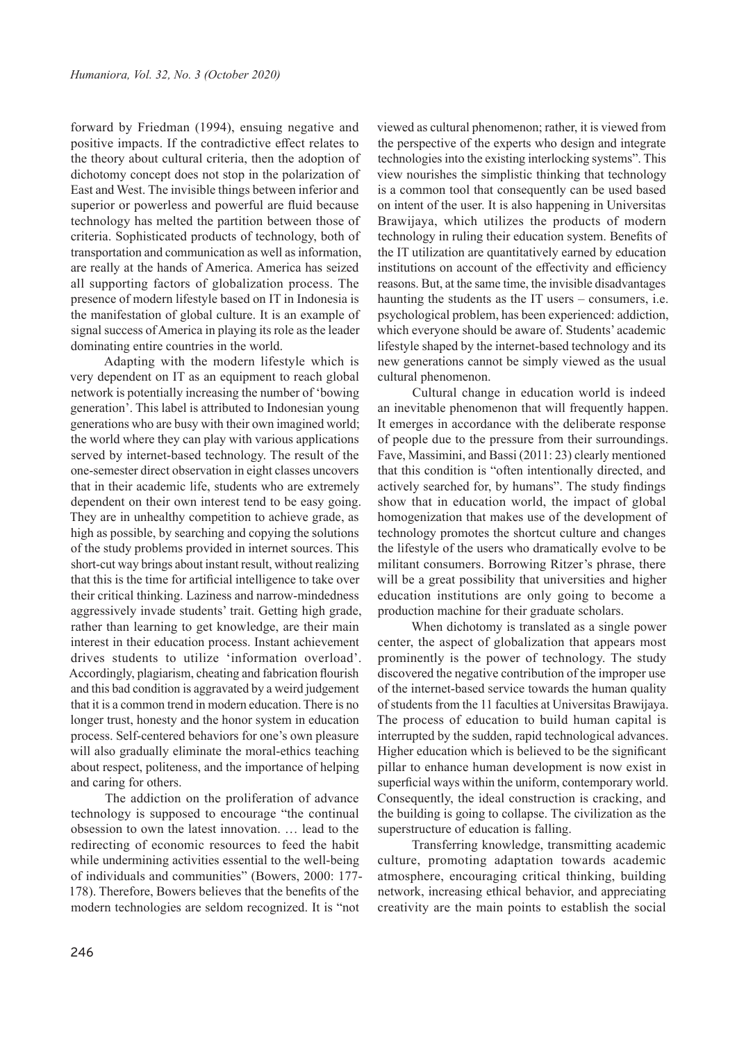forward by Friedman (1994), ensuing negative and positive impacts. If the contradictive effect relates to the theory about cultural criteria, then the adoption of dichotomy concept does not stop in the polarization of East and West. The invisible things between inferior and superior or powerless and powerful are fluid because technology has melted the partition between those of criteria. Sophisticated products of technology, both of transportation and communication as well as information, are really at the hands of America. America has seized all supporting factors of globalization process. The presence of modern lifestyle based on IT in Indonesia is the manifestation of global culture. It is an example of signal success of America in playing its role as the leader dominating entire countries in the world.

Adapting with the modern lifestyle which is very dependent on IT as an equipment to reach global network is potentially increasing the number of 'bowing generation'. This label is attributed to Indonesian young generations who are busy with their own imagined world; the world where they can play with various applications served by internet-based technology. The result of the one-semester direct observation in eight classes uncovers that in their academic life, students who are extremely dependent on their own interest tend to be easy going. They are in unhealthy competition to achieve grade, as high as possible, by searching and copying the solutions of the study problems provided in internet sources. This short-cut way brings about instant result, without realizing that this is the time for artificial intelligence to take over their critical thinking. Laziness and narrow-mindedness aggressively invade students' trait. Getting high grade, rather than learning to get knowledge, are their main interest in their education process. Instant achievement drives students to utilize 'information overload'. Accordingly, plagiarism, cheating and fabrication flourish and this bad condition is aggravated by a weird judgement that it is a common trend in modern education. There is no longer trust, honesty and the honor system in education process. Self-centered behaviors for one's own pleasure will also gradually eliminate the moral-ethics teaching about respect, politeness, and the importance of helping and caring for others.

The addiction on the proliferation of advance technology is supposed to encourage "the continual obsession to own the latest innovation. … lead to the redirecting of economic resources to feed the habit while undermining activities essential to the well-being of individuals and communities" (Bowers, 2000: 177- 178). Therefore, Bowers believes that the benefits of the modern technologies are seldom recognized. It is "not

viewed as cultural phenomenon; rather, it is viewed from the perspective of the experts who design and integrate technologies into the existing interlocking systems". This view nourishes the simplistic thinking that technology is a common tool that consequently can be used based on intent of the user. It is also happening in Universitas Brawijaya, which utilizes the products of modern technology in ruling their education system. Benefits of the IT utilization are quantitatively earned by education institutions on account of the effectivity and efficiency reasons. But, at the same time, the invisible disadvantages haunting the students as the IT users – consumers, i.e. psychological problem, has been experienced: addiction, which everyone should be aware of. Students' academic lifestyle shaped by the internet-based technology and its new generations cannot be simply viewed as the usual cultural phenomenon.

Cultural change in education world is indeed an inevitable phenomenon that will frequently happen. It emerges in accordance with the deliberate response of people due to the pressure from their surroundings. Fave, Massimini, and Bassi (2011: 23) clearly mentioned that this condition is "often intentionally directed, and actively searched for, by humans". The study findings show that in education world, the impact of global homogenization that makes use of the development of technology promotes the shortcut culture and changes the lifestyle of the users who dramatically evolve to be militant consumers. Borrowing Ritzer's phrase, there will be a great possibility that universities and higher education institutions are only going to become a production machine for their graduate scholars.

When dichotomy is translated as a single power center, the aspect of globalization that appears most prominently is the power of technology. The study discovered the negative contribution of the improper use of the internet-based service towards the human quality of students from the 11 faculties at Universitas Brawijaya. The process of education to build human capital is interrupted by the sudden, rapid technological advances. Higher education which is believed to be the significant pillar to enhance human development is now exist in superficial ways within the uniform, contemporary world. Consequently, the ideal construction is cracking, and the building is going to collapse. The civilization as the superstructure of education is falling.

Transferring knowledge, transmitting academic culture, promoting adaptation towards academic atmosphere, encouraging critical thinking, building network, increasing ethical behavior, and appreciating creativity are the main points to establish the social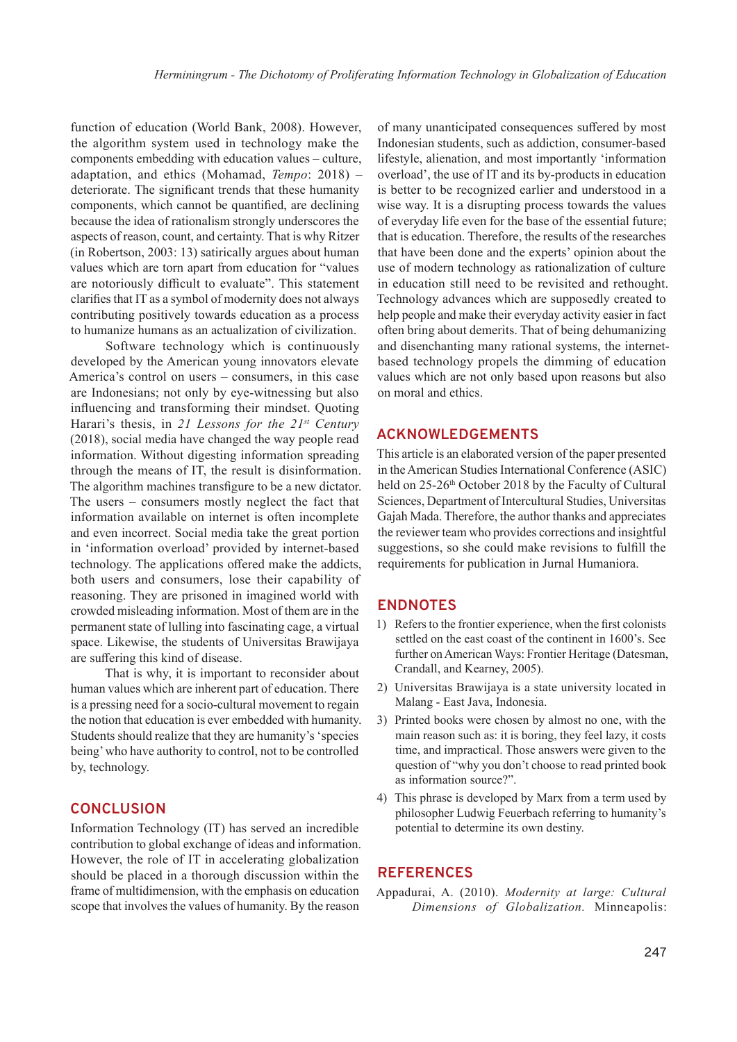function of education (World Bank, 2008). However, the algorithm system used in technology make the components embedding with education values – culture, adaptation, and ethics (Mohamad, *Tempo*: 2018) – deteriorate. The significant trends that these humanity components, which cannot be quantified, are declining because the idea of rationalism strongly underscores the aspects of reason, count, and certainty. That is why Ritzer (in Robertson, 2003: 13) satirically argues about human values which are torn apart from education for "values are notoriously difficult to evaluate". This statement clarifies that IT as a symbol of modernity does not always contributing positively towards education as a process to humanize humans as an actualization of civilization.

Software technology which is continuously developed by the American young innovators elevate America's control on users – consumers, in this case are Indonesians; not only by eye-witnessing but also influencing and transforming their mindset. Quoting Harari's thesis, in *21 Lessons for the 21st Century* (2018), social media have changed the way people read information. Without digesting information spreading through the means of IT, the result is disinformation. The algorithm machines transfigure to be a new dictator. The users – consumers mostly neglect the fact that information available on internet is often incomplete and even incorrect. Social media take the great portion in 'information overload' provided by internet-based technology. The applications offered make the addicts, both users and consumers, lose their capability of reasoning. They are prisoned in imagined world with crowded misleading information. Most of them are in the permanent state of lulling into fascinating cage, a virtual space. Likewise, the students of Universitas Brawijaya are suffering this kind of disease.

That is why, it is important to reconsider about human values which are inherent part of education. There is a pressing need for a socio-cultural movement to regain the notion that education is ever embedded with humanity. Students should realize that they are humanity's 'species being' who have authority to control, not to be controlled by, technology.

#### **CONCLUSION**

Information Technology (IT) has served an incredible contribution to global exchange of ideas and information. However, the role of IT in accelerating globalization should be placed in a thorough discussion within the frame of multidimension, with the emphasis on education scope that involves the values of humanity. By the reason

of many unanticipated consequences suffered by most Indonesian students, such as addiction, consumer-based lifestyle, alienation, and most importantly 'information overload', the use of IT and its by-products in education is better to be recognized earlier and understood in a wise way. It is a disrupting process towards the values of everyday life even for the base of the essential future; that is education. Therefore, the results of the researches that have been done and the experts' opinion about the use of modern technology as rationalization of culture in education still need to be revisited and rethought. Technology advances which are supposedly created to help people and make their everyday activity easier in fact often bring about demerits. That of being dehumanizing and disenchanting many rational systems, the internetbased technology propels the dimming of education values which are not only based upon reasons but also on moral and ethics.

#### **ACKNOWLEDGEMENTS**

This article is an elaborated version of the paper presented in the American Studies International Conference (ASIC) held on 25-26th October 2018 by the Faculty of Cultural Sciences, Department of Intercultural Studies, Universitas Gajah Mada. Therefore, the author thanks and appreciates the reviewer team who provides corrections and insightful suggestions, so she could make revisions to fulfill the requirements for publication in Jurnal Humaniora.

#### **ENDNOTES**

- 1) Refers to the frontier experience, when the first colonists settled on the east coast of the continent in 1600's. See further on American Ways: Frontier Heritage (Datesman, Crandall, and Kearney, 2005).
- 2) Universitas Brawijaya is a state university located in Malang - East Java, Indonesia.
- 3) Printed books were chosen by almost no one, with the main reason such as: it is boring, they feel lazy, it costs time, and impractical. Those answers were given to the question of "why you don't choose to read printed book as information source?".
- 4) This phrase is developed by Marx from a term used by philosopher Ludwig Feuerbach referring to humanity's potential to determine its own destiny.

## **REFERENCES**

Appadurai, A. (2010). *Modernity at large: Cultural Dimensions of Globalization.* Minneapolis: